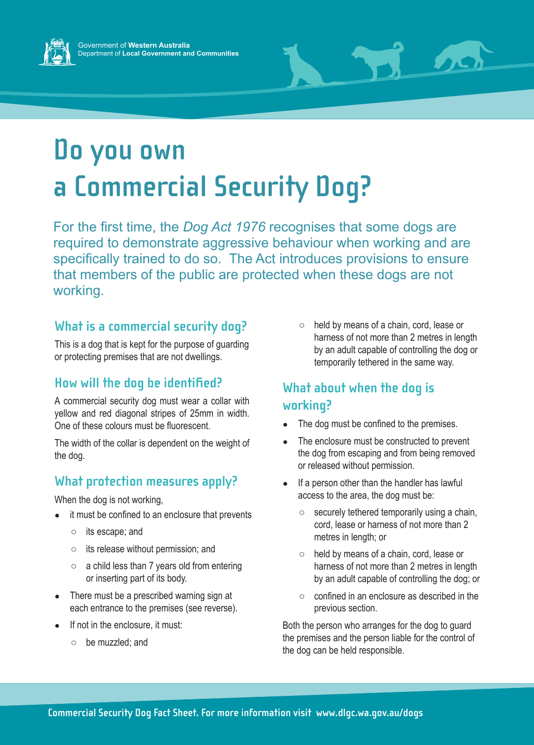



# **Do you own a Commercial Security Dog?**

For the first time, the *Dog Act 1976* recognises that some dogs are required to demonstrate aggressive behaviour when working and are specifically trained to do so. The Act introduces provisions to ensure that members of the public are protected when these dogs are not working.

# **What is a commercial security dog?**

This is a dog that is kept for the purpose of guarding or protecting premises that are not dwellings.

#### **How will the dog be identified?**

A commercial security dog must wear a collar with yellow and red diagonal stripes of 25mm in width. One of these colours must be fluorescent.

The width of the collar is dependent on the weight of the dog.

# **What protection measures apply?**

When the dog is not working,

- it must be confined to an enclosure that prevents
	- its escape; and
	- its release without permission; and
	- a child less than 7 years old from entering or inserting part of its body.
- There must be a prescribed warning sign at each entrance to the premises (see reverse).
- If not in the enclosure, it must:
	- be muzzled; and

held by means of a chain, cord, lease or harness of not more than 2 metres in length by an adult capable of controlling the dog or temporarily tethered in the same way.

# **What about when the dog is working?**

- The dog must be confined to the premises.
- The enclosure must be constructed to prevent the dog from escaping and from being removed or released without permission.
- If a person other than the handler has lawful access to the area, the dog must be:
	- $\circ$  securely tethered temporarily using a chain, cord, lease or harness of not more than 2 metres in length; or
	- held by means of a chain, cord, lease or harness of not more than 2 metres in length by an adult capable of controlling the dog; or
	- confined in an enclosure as described in the previous section.

Both the person who arranges for the dog to guard the premises and the person liable for the control of the dog can be held responsible.